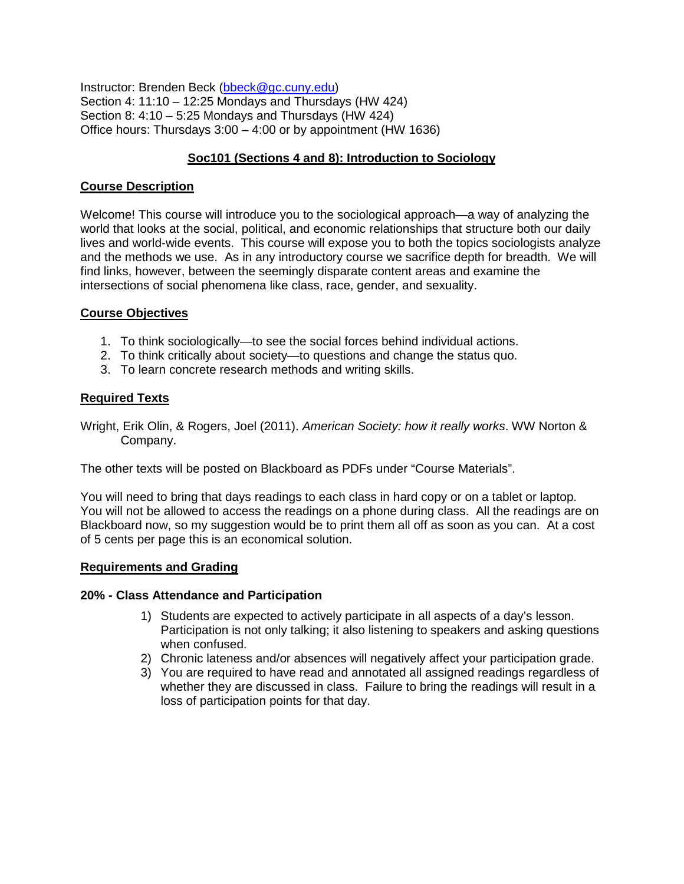Instructor: Brenden Beck [\(bbeck@gc.cuny.edu\)](mailto:bbeck@gc.cuny.edu) Section 4: 11:10 – 12:25 Mondays and Thursdays (HW 424) Section 8: 4:10 – 5:25 Mondays and Thursdays (HW 424) Office hours: Thursdays 3:00 – 4:00 or by appointment (HW 1636)

# **Soc101 (Sections 4 and 8): Introduction to Sociology**

### **Course Description**

Welcome! This course will introduce you to the sociological approach—a way of analyzing the world that looks at the social, political, and economic relationships that structure both our daily lives and world-wide events. This course will expose you to both the topics sociologists analyze and the methods we use. As in any introductory course we sacrifice depth for breadth. We will find links, however, between the seemingly disparate content areas and examine the intersections of social phenomena like class, race, gender, and sexuality.

### **Course Objectives**

- 1. To think sociologically—to see the social forces behind individual actions.
- 2. To think critically about society—to questions and change the status quo.
- 3. To learn concrete research methods and writing skills.

### **Required Texts**

Wright, Erik Olin, & Rogers, Joel (2011). *American Society: how it really works*. WW Norton & Company.

The other texts will be posted on Blackboard as PDFs under "Course Materials".

You will need to bring that days readings to each class in hard copy or on a tablet or laptop. You will not be allowed to access the readings on a phone during class. All the readings are on Blackboard now, so my suggestion would be to print them all off as soon as you can. At a cost of 5 cents per page this is an economical solution.

#### **Requirements and Grading**

#### **20% - Class Attendance and Participation**

- 1) Students are expected to actively participate in all aspects of a day's lesson. Participation is not only talking; it also listening to speakers and asking questions when confused.
- 2) Chronic lateness and/or absences will negatively affect your participation grade.
- 3) You are required to have read and annotated all assigned readings regardless of whether they are discussed in class. Failure to bring the readings will result in a loss of participation points for that day.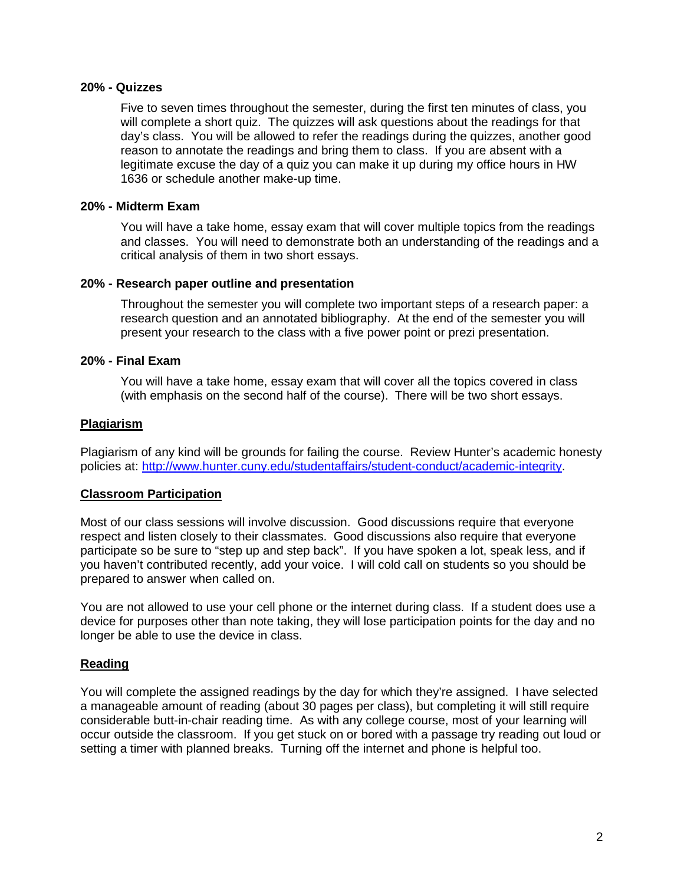#### **20% - Quizzes**

Five to seven times throughout the semester, during the first ten minutes of class, you will complete a short quiz. The quizzes will ask questions about the readings for that day's class. You will be allowed to refer the readings during the quizzes, another good reason to annotate the readings and bring them to class. If you are absent with a legitimate excuse the day of a quiz you can make it up during my office hours in HW 1636 or schedule another make-up time.

### **20% - Midterm Exam**

You will have a take home, essay exam that will cover multiple topics from the readings and classes. You will need to demonstrate both an understanding of the readings and a critical analysis of them in two short essays.

#### **20% - Research paper outline and presentation**

Throughout the semester you will complete two important steps of a research paper: a research question and an annotated bibliography. At the end of the semester you will present your research to the class with a five power point or prezi presentation.

#### **20% - Final Exam**

You will have a take home, essay exam that will cover all the topics covered in class (with emphasis on the second half of the course). There will be two short essays.

#### **Plagiarism**

Plagiarism of any kind will be grounds for failing the course. Review Hunter's academic honesty policies at: [http://www.hunter.cuny.edu/studentaffairs/student-conduct/academic-integrity.](http://www.hunter.cuny.edu/studentaffairs/student-conduct/academic-integrity)

#### **Classroom Participation**

Most of our class sessions will involve discussion. Good discussions require that everyone respect and listen closely to their classmates. Good discussions also require that everyone participate so be sure to "step up and step back". If you have spoken a lot, speak less, and if you haven't contributed recently, add your voice. I will cold call on students so you should be prepared to answer when called on.

You are not allowed to use your cell phone or the internet during class. If a student does use a device for purposes other than note taking, they will lose participation points for the day and no longer be able to use the device in class.

#### **Reading**

You will complete the assigned readings by the day for which they're assigned. I have selected a manageable amount of reading (about 30 pages per class), but completing it will still require considerable butt-in-chair reading time. As with any college course, most of your learning will occur outside the classroom. If you get stuck on or bored with a passage try reading out loud or setting a timer with planned breaks. Turning off the internet and phone is helpful too.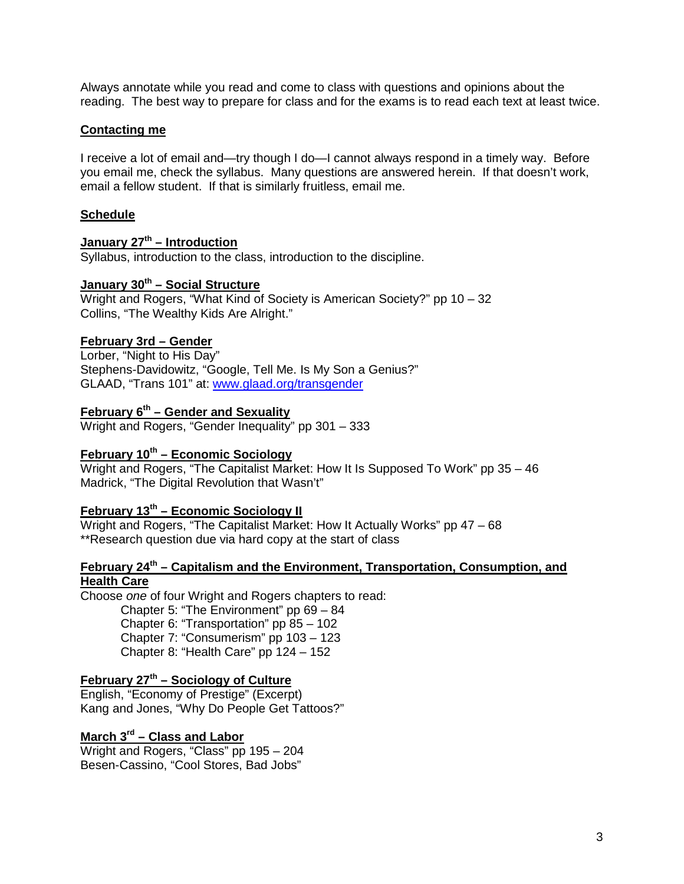Always annotate while you read and come to class with questions and opinions about the reading. The best way to prepare for class and for the exams is to read each text at least twice.

### **Contacting me**

I receive a lot of email and—try though I do—I cannot always respond in a timely way. Before you email me, check the syllabus. Many questions are answered herein. If that doesn't work, email a fellow student. If that is similarly fruitless, email me.

### **Schedule**

### **January 27th – Introduction**

Syllabus, introduction to the class, introduction to the discipline.

## **January 30th – Social Structure**

Wright and Rogers, "What Kind of Society is American Society?" pp 10 – 32 Collins, "The Wealthy Kids Are Alright."

#### **February 3rd – Gender**

Lorber, "Night to His Day" Stephens-Davidowitz, "Google, Tell Me. Is My Son a Genius?" GLAAD, "Trans 101" at: [www.glaad.org/transgender](http://www.glaad.org/transgender)

### **February 6th – Gender and Sexuality**

Wright and Rogers, "Gender Inequality" pp 301 – 333

# **February 10th – Economic Sociology**

Wright and Rogers, "The Capitalist Market: How It Is Supposed To Work" pp 35 – 46 Madrick, "The Digital Revolution that Wasn't"

# **February 13th – Economic Sociology II**

Wright and Rogers, "The Capitalist Market: How It Actually Works" pp 47 – 68 \*\*Research question due via hard copy at the start of class

### **February 24th – Capitalism and the Environment, Transportation, Consumption, and Health Care**

Choose *one* of four Wright and Rogers chapters to read:

Chapter 5: "The Environment" pp 69 – 84 Chapter 6: "Transportation" pp 85 – 102 Chapter 7: "Consumerism" pp 103 – 123 Chapter 8: "Health Care" pp 124 – 152

# **February 27th – Sociology of Culture**

English, "Economy of Prestige" (Excerpt) Kang and Jones, "Why Do People Get Tattoos?"

# **March 3rd – Class and Labor**

Wright and Rogers, "Class" pp 195 – 204 Besen-Cassino, "Cool Stores, Bad Jobs"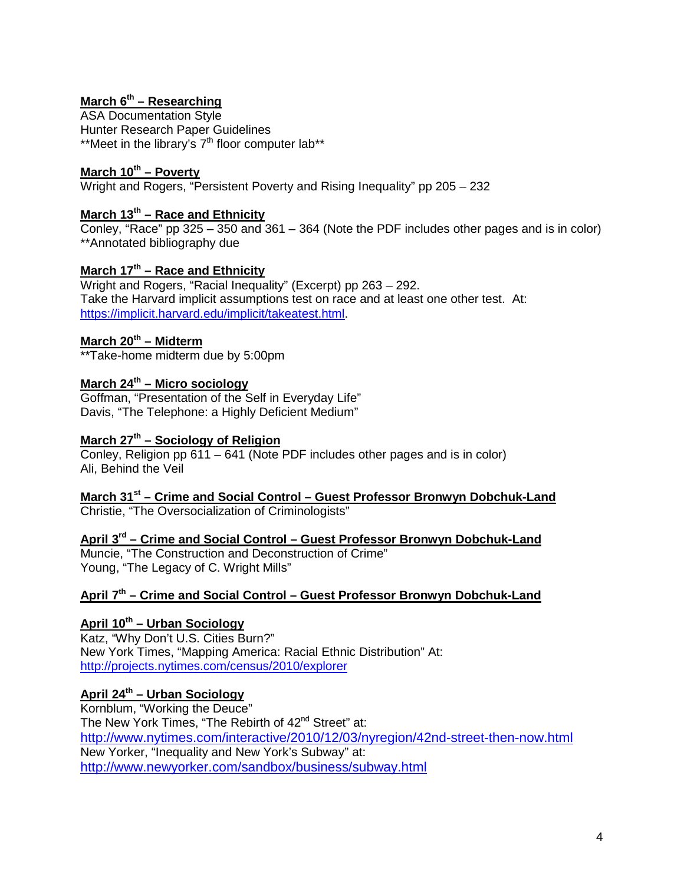# **March 6th – Researching**

ASA Documentation Style Hunter Research Paper Guidelines \*\*Meet in the library's  $7<sup>th</sup>$  floor computer lab\*\*

# **March 10th – Poverty**

Wright and Rogers, "Persistent Poverty and Rising Inequality" pp 205 – 232

### **March 13th – Race and Ethnicity**

Conley, "Race" pp 325 – 350 and 361 – 364 (Note the PDF includes other pages and is in color) \*\*Annotated bibliography due

# **March 17th – Race and Ethnicity**

Wright and Rogers, "Racial Inequality" (Excerpt) pp 263 – 292. Take the Harvard implicit assumptions test on race and at least one other test. At: [https://implicit.harvard.edu/implicit/takeatest.html.](https://implicit.harvard.edu/implicit/takeatest.html)

## **March 20th – Midterm**

\*\*Take-home midterm due by 5:00pm

# **March 24th – Micro sociology**

Goffman, "Presentation of the Self in Everyday Life" Davis, "The Telephone: a Highly Deficient Medium"

# **March 27th – Sociology of Religion**

Conley, Religion pp 611 – 641 (Note PDF includes other pages and is in color) Ali, Behind the Veil

# **March 31st – Crime and Social Control – Guest Professor Bronwyn Dobchuk-Land**

Christie, "The Oversocialization of Criminologists"

# **April 3rd – Crime and Social Control – Guest Professor Bronwyn Dobchuk-Land**

Muncie, "The Construction and Deconstruction of Crime" Young, "The Legacy of C. Wright Mills"

### **April 7th – Crime and Social Control – Guest Professor Bronwyn Dobchuk-Land**

# **April 10th – Urban Sociology**

Katz, "Why Don't U.S. Cities Burn?" New York Times, "Mapping America: Racial Ethnic Distribution" At: <http://projects.nytimes.com/census/2010/explorer>

# **April 24th – Urban Sociology**

Kornblum, "Working the Deuce" The New York Times, "The Rebirth of 42<sup>nd</sup> Street" at: <http://www.nytimes.com/interactive/2010/12/03/nyregion/42nd-street-then-now.html> New Yorker, "Inequality and New York's Subway" at: <http://www.newyorker.com/sandbox/business/subway.html>